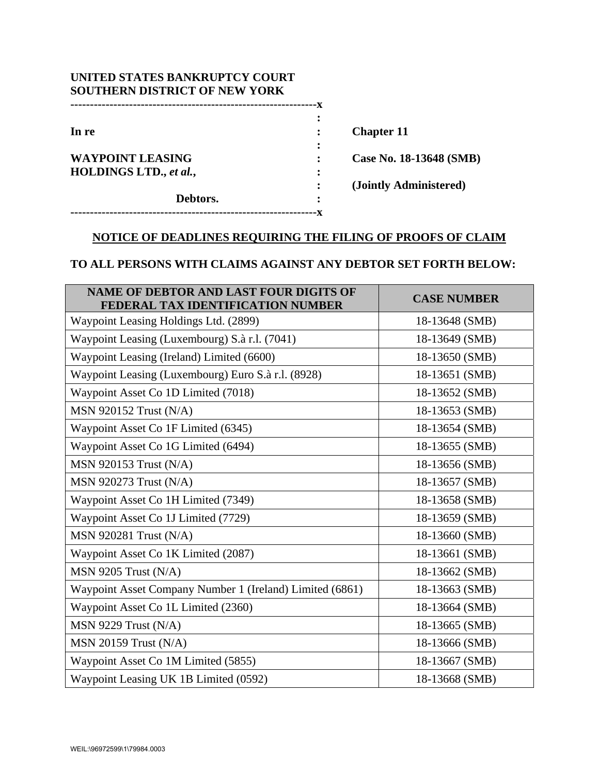| UNITED STATES BANKRUPTCY COURT<br><b>SOUTHERN DISTRICT OF NEW YORK</b> |   |                         |
|------------------------------------------------------------------------|---|-------------------------|
|                                                                        |   |                         |
|                                                                        |   |                         |
| In re                                                                  |   | <b>Chapter 11</b>       |
|                                                                        |   |                         |
| <b>WAYPOINT LEASING</b>                                                |   | Case No. 18-13648 (SMB) |
| HOLDINGS LTD., et al.,                                                 |   |                         |
|                                                                        |   | (Jointly Administered)  |
| Debtors.                                                               | ٠ |                         |
|                                                                        |   |                         |

# **NOTICE OF DEADLINES REQUIRING THE FILING OF PROOFS OF CLAIM**

## **TO ALL PERSONS WITH CLAIMS AGAINST ANY DEBTOR SET FORTH BELOW:**

| <b>NAME OF DEBTOR AND LAST FOUR DIGITS OF</b><br>FEDERAL TAX IDENTIFICATION NUMBER | <b>CASE NUMBER</b> |
|------------------------------------------------------------------------------------|--------------------|
| Waypoint Leasing Holdings Ltd. (2899)                                              | 18-13648 (SMB)     |
| Waypoint Leasing (Luxembourg) S.à r.l. (7041)                                      | 18-13649 (SMB)     |
| Waypoint Leasing (Ireland) Limited (6600)                                          | 18-13650 (SMB)     |
| Waypoint Leasing (Luxembourg) Euro S.à r.l. (8928)                                 | 18-13651 (SMB)     |
| Waypoint Asset Co 1D Limited (7018)                                                | 18-13652 (SMB)     |
| <b>MSN 920152 Trust (N/A)</b>                                                      | 18-13653 (SMB)     |
| Waypoint Asset Co 1F Limited (6345)                                                | 18-13654 (SMB)     |
| Waypoint Asset Co 1G Limited (6494)                                                | 18-13655 (SMB)     |
| <b>MSN 920153 Trust (N/A)</b>                                                      | 18-13656 (SMB)     |
| <b>MSN 920273 Trust (N/A)</b>                                                      | 18-13657 (SMB)     |
| Waypoint Asset Co 1H Limited (7349)                                                | 18-13658 (SMB)     |
| Waypoint Asset Co 1J Limited (7729)                                                | 18-13659 (SMB)     |
| <b>MSN 920281 Trust (N/A)</b>                                                      | 18-13660 (SMB)     |
| Waypoint Asset Co 1K Limited (2087)                                                | 18-13661 (SMB)     |
| $MSN$ 9205 Trust $(N/A)$                                                           | 18-13662 (SMB)     |
| Waypoint Asset Company Number 1 (Ireland) Limited (6861)                           | 18-13663 (SMB)     |
| Waypoint Asset Co 1L Limited (2360)                                                | 18-13664 (SMB)     |
| $MSN$ 9229 Trust $(N/A)$                                                           | 18-13665 (SMB)     |
| <b>MSN 20159 Trust (N/A)</b>                                                       | 18-13666 (SMB)     |
| Waypoint Asset Co 1M Limited (5855)                                                | 18-13667 (SMB)     |
| Waypoint Leasing UK 1B Limited (0592)                                              | 18-13668 (SMB)     |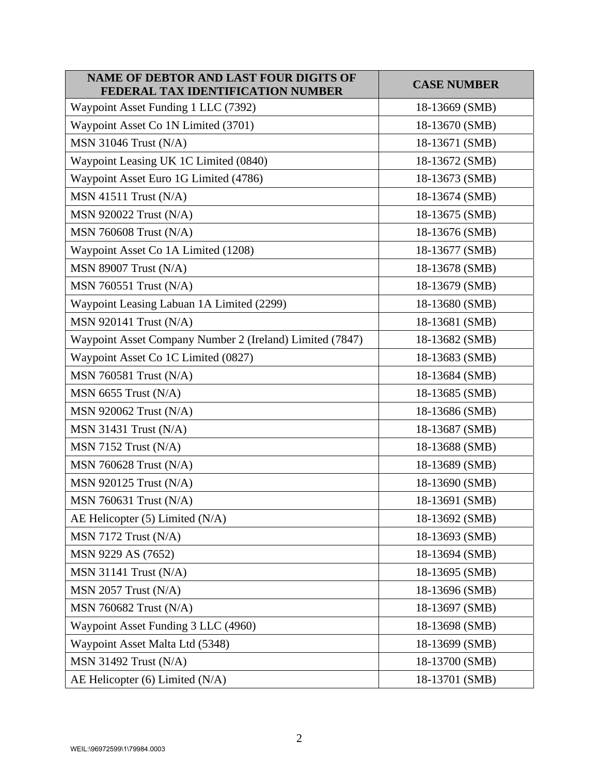| <b>NAME OF DEBTOR AND LAST FOUR DIGITS OF</b><br>FEDERAL TAX IDENTIFICATION NUMBER | <b>CASE NUMBER</b> |
|------------------------------------------------------------------------------------|--------------------|
| Waypoint Asset Funding 1 LLC (7392)                                                | 18-13669 (SMB)     |
| Waypoint Asset Co 1N Limited (3701)                                                | 18-13670 (SMB)     |
| <b>MSN 31046 Trust (N/A)</b>                                                       | 18-13671 (SMB)     |
| Waypoint Leasing UK 1C Limited (0840)                                              | 18-13672 (SMB)     |
| Waypoint Asset Euro 1G Limited (4786)                                              | 18-13673 (SMB)     |
| $MSN$ 41511 Trust $(N/A)$                                                          | 18-13674 (SMB)     |
| <b>MSN 920022 Trust (N/A)</b>                                                      | 18-13675 (SMB)     |
| <b>MSN 760608 Trust (N/A)</b>                                                      | 18-13676 (SMB)     |
| Waypoint Asset Co 1A Limited (1208)                                                | 18-13677 (SMB)     |
| <b>MSN 89007 Trust (N/A)</b>                                                       | 18-13678 (SMB)     |
| <b>MSN 760551 Trust (N/A)</b>                                                      | 18-13679 (SMB)     |
| Waypoint Leasing Labuan 1A Limited (2299)                                          | 18-13680 (SMB)     |
| <b>MSN 920141 Trust (N/A)</b>                                                      | 18-13681 (SMB)     |
| Waypoint Asset Company Number 2 (Ireland) Limited (7847)                           | 18-13682 (SMB)     |
| Waypoint Asset Co 1C Limited (0827)                                                | 18-13683 (SMB)     |
| <b>MSN 760581 Trust (N/A)</b>                                                      | 18-13684 (SMB)     |
| $MSN$ 6655 Trust $(N/A)$                                                           | 18-13685 (SMB)     |
| <b>MSN 920062 Trust (N/A)</b>                                                      | 18-13686 (SMB)     |
| $MSN$ 31431 Trust $(N/A)$                                                          | 18-13687 (SMB)     |
| $MSN 7152$ Trust $(N/A)$                                                           | 18-13688 (SMB)     |
| <b>MSN 760628 Trust (N/A)</b>                                                      | 18-13689 (SMB)     |
| <b>MSN 920125 Trust (N/A)</b>                                                      | 18-13690 (SMB)     |
| <b>MSN 760631 Trust (N/A)</b>                                                      | 18-13691 (SMB)     |
| AE Helicopter $(5)$ Limited $(N/A)$                                                | 18-13692 (SMB)     |
| MSN 7172 Trust (N/A)                                                               | 18-13693 (SMB)     |
| MSN 9229 AS (7652)                                                                 | 18-13694 (SMB)     |
| $MSN$ 31141 Trust $(N/A)$                                                          | 18-13695 (SMB)     |
| $MSN 2057$ Trust $(N/A)$                                                           | 18-13696 (SMB)     |
| <b>MSN 760682 Trust (N/A)</b>                                                      | 18-13697 (SMB)     |
| Waypoint Asset Funding 3 LLC (4960)                                                | 18-13698 (SMB)     |
| Waypoint Asset Malta Ltd (5348)                                                    | 18-13699 (SMB)     |
| <b>MSN 31492 Trust (N/A)</b>                                                       | 18-13700 (SMB)     |
| AE Helicopter (6) Limited (N/A)                                                    | 18-13701 (SMB)     |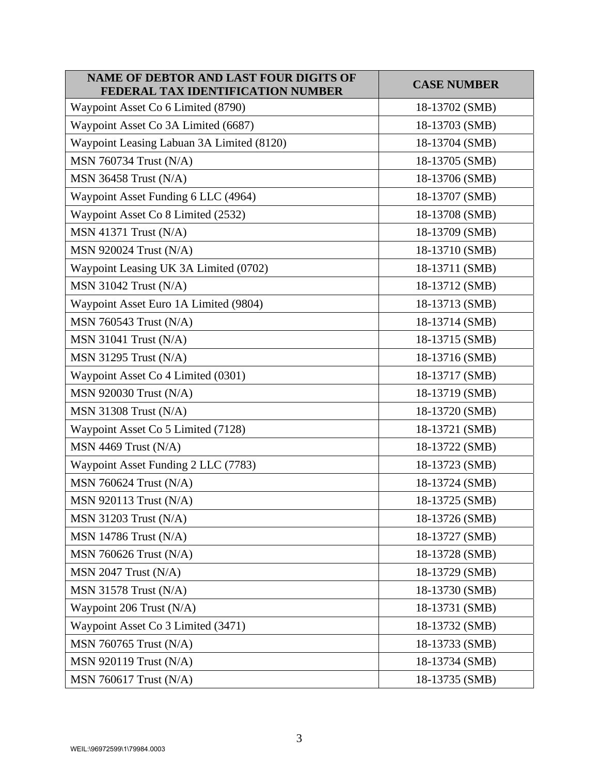| <b>NAME OF DEBTOR AND LAST FOUR DIGITS OF</b><br>FEDERAL TAX IDENTIFICATION NUMBER | <b>CASE NUMBER</b> |
|------------------------------------------------------------------------------------|--------------------|
| Waypoint Asset Co 6 Limited (8790)                                                 | 18-13702 (SMB)     |
| Waypoint Asset Co 3A Limited (6687)                                                | 18-13703 (SMB)     |
| Waypoint Leasing Labuan 3A Limited (8120)                                          | 18-13704 (SMB)     |
| <b>MSN 760734 Trust (N/A)</b>                                                      | 18-13705 (SMB)     |
| <b>MSN 36458 Trust (N/A)</b>                                                       | 18-13706 (SMB)     |
| Waypoint Asset Funding 6 LLC (4964)                                                | 18-13707 (SMB)     |
| Waypoint Asset Co 8 Limited (2532)                                                 | 18-13708 (SMB)     |
| MSN 41371 Trust (N/A)                                                              | 18-13709 (SMB)     |
| <b>MSN 920024 Trust (N/A)</b>                                                      | 18-13710 (SMB)     |
| Waypoint Leasing UK 3A Limited (0702)                                              | 18-13711 (SMB)     |
| <b>MSN 31042 Trust (N/A)</b>                                                       | 18-13712 (SMB)     |
| Waypoint Asset Euro 1A Limited (9804)                                              | 18-13713 (SMB)     |
| MSN 760543 Trust (N/A)                                                             | 18-13714 (SMB)     |
| $MSN 31041$ Trust $(N/A)$                                                          | 18-13715 (SMB)     |
| <b>MSN 31295 Trust (N/A)</b>                                                       | 18-13716 (SMB)     |
| Waypoint Asset Co 4 Limited (0301)                                                 | 18-13717 (SMB)     |
| <b>MSN 920030 Trust (N/A)</b>                                                      | 18-13719 (SMB)     |
| <b>MSN 31308 Trust (N/A)</b>                                                       | 18-13720 (SMB)     |
| Waypoint Asset Co 5 Limited (7128)                                                 | 18-13721 (SMB)     |
| $MSN$ 4469 Trust $(N/A)$                                                           | 18-13722 (SMB)     |
| Waypoint Asset Funding 2 LLC (7783)                                                | 18-13723 (SMB)     |
| <b>MSN 760624 Trust (N/A)</b>                                                      | 18-13724 (SMB)     |
| <b>MSN 920113 Trust (N/A)</b>                                                      | 18-13725 (SMB)     |
| <b>MSN 31203 Trust (N/A)</b>                                                       | 18-13726 (SMB)     |
| $MSN$ 14786 Trust $(N/A)$                                                          | 18-13727 (SMB)     |
| <b>MSN 760626 Trust (N/A)</b>                                                      | 18-13728 (SMB)     |
| $MSN 2047$ Trust $(N/A)$                                                           | 18-13729 (SMB)     |
| MSN 31578 Trust (N/A)                                                              | 18-13730 (SMB)     |
| Waypoint 206 Trust (N/A)                                                           | 18-13731 (SMB)     |
| Waypoint Asset Co 3 Limited (3471)                                                 | 18-13732 (SMB)     |
| <b>MSN 760765 Trust (N/A)</b>                                                      | 18-13733 (SMB)     |
| <b>MSN 920119 Trust (N/A)</b>                                                      | 18-13734 (SMB)     |
| <b>MSN 760617 Trust (N/A)</b>                                                      | 18-13735 (SMB)     |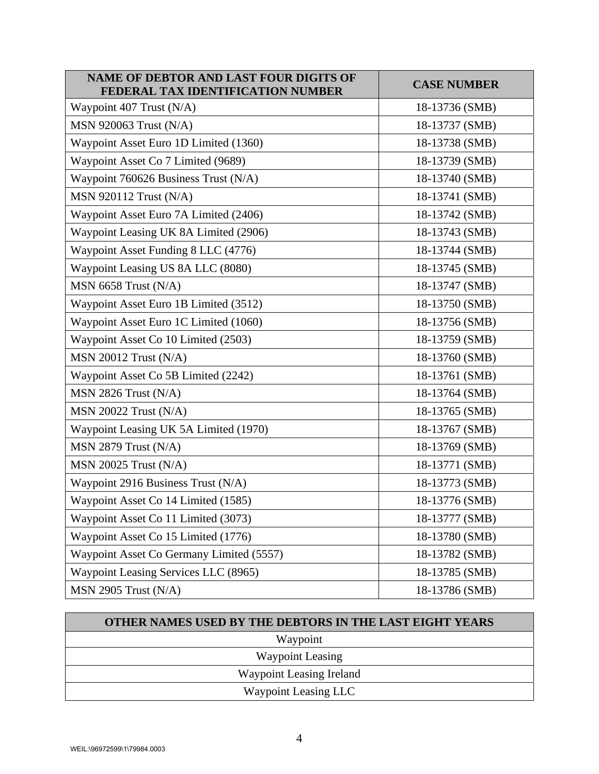| <b>NAME OF DEBTOR AND LAST FOUR DIGITS OF</b><br>FEDERAL TAX IDENTIFICATION NUMBER | <b>CASE NUMBER</b> |
|------------------------------------------------------------------------------------|--------------------|
| Waypoint 407 Trust (N/A)                                                           | 18-13736 (SMB)     |
| <b>MSN 920063 Trust (N/A)</b>                                                      | 18-13737 (SMB)     |
| Waypoint Asset Euro 1D Limited (1360)                                              | 18-13738 (SMB)     |
| Waypoint Asset Co 7 Limited (9689)                                                 | 18-13739 (SMB)     |
| Waypoint 760626 Business Trust (N/A)                                               | 18-13740 (SMB)     |
| <b>MSN 920112 Trust (N/A)</b>                                                      | 18-13741 (SMB)     |
| Waypoint Asset Euro 7A Limited (2406)                                              | 18-13742 (SMB)     |
| Waypoint Leasing UK 8A Limited (2906)                                              | 18-13743 (SMB)     |
| Waypoint Asset Funding 8 LLC (4776)                                                | 18-13744 (SMB)     |
| Waypoint Leasing US 8A LLC (8080)                                                  | 18-13745 (SMB)     |
| MSN 6658 Trust (N/A)                                                               | 18-13747 (SMB)     |
| Waypoint Asset Euro 1B Limited (3512)                                              | 18-13750 (SMB)     |
| Waypoint Asset Euro 1C Limited (1060)                                              | 18-13756 (SMB)     |
| Waypoint Asset Co 10 Limited (2503)                                                | 18-13759 (SMB)     |
| $MSN 20012$ Trust $(N/A)$                                                          | 18-13760 (SMB)     |
| Waypoint Asset Co 5B Limited (2242)                                                | 18-13761 (SMB)     |
| $MSN 2826$ Trust $(N/A)$                                                           | 18-13764 (SMB)     |
| $MSN 20022$ Trust $(N/A)$                                                          | 18-13765 (SMB)     |
| Waypoint Leasing UK 5A Limited (1970)                                              | 18-13767 (SMB)     |
| MSN 2879 Trust (N/A)                                                               | 18-13769 (SMB)     |
| <b>MSN 20025 Trust (N/A)</b>                                                       | 18-13771 (SMB)     |
| Waypoint 2916 Business Trust (N/A)                                                 | 18-13773 (SMB)     |
| Waypoint Asset Co 14 Limited (1585)                                                | 18-13776 (SMB)     |
| Waypoint Asset Co 11 Limited (3073)                                                | 18-13777 (SMB)     |
| Waypoint Asset Co 15 Limited (1776)                                                | 18-13780 (SMB)     |
| Waypoint Asset Co Germany Limited (5557)                                           | 18-13782 (SMB)     |
| Waypoint Leasing Services LLC (8965)                                               | 18-13785 (SMB)     |
| MSN 2905 Trust (N/A)                                                               | 18-13786 (SMB)     |

| <b>OTHER NAMES USED BY THE DEBTORS IN THE LAST EIGHT YEARS</b> |
|----------------------------------------------------------------|
| Waypoint                                                       |
| <b>Waypoint Leasing</b>                                        |
| Waypoint Leasing Ireland                                       |
| Waypoint Leasing LLC                                           |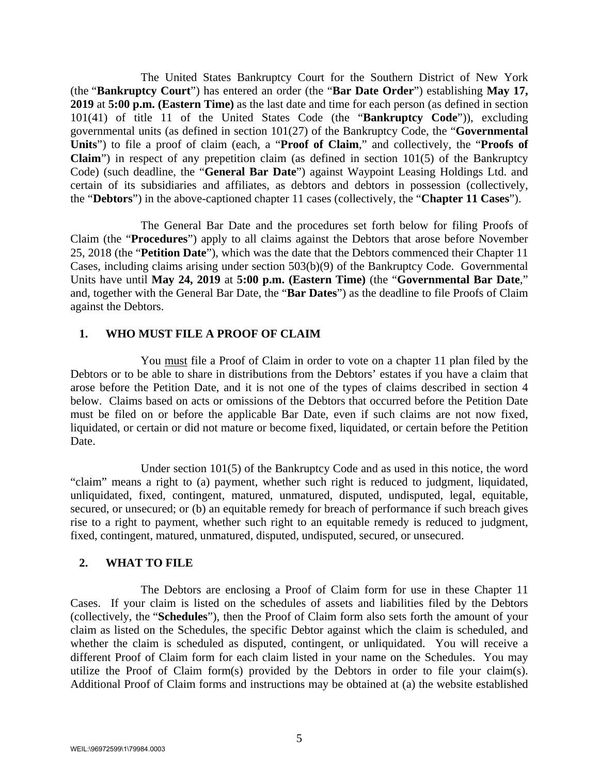The United States Bankruptcy Court for the Southern District of New York (the "**Bankruptcy Court**") has entered an order (the "**Bar Date Order**") establishing **May 17, 2019** at **5:00 p.m. (Eastern Time)** as the last date and time for each person (as defined in section 101(41) of title 11 of the United States Code (the "**Bankruptcy Code**")), excluding governmental units (as defined in section 101(27) of the Bankruptcy Code, the "**Governmental Units**") to file a proof of claim (each, a "**Proof of Claim**," and collectively, the "**Proofs of Claim**") in respect of any prepetition claim (as defined in section 101(5) of the Bankruptcy Code) (such deadline, the "**General Bar Date**") against Waypoint Leasing Holdings Ltd. and certain of its subsidiaries and affiliates, as debtors and debtors in possession (collectively, the "**Debtors**") in the above-captioned chapter 11 cases (collectively, the "**Chapter 11 Cases**").

 The General Bar Date and the procedures set forth below for filing Proofs of Claim (the "**Procedures**") apply to all claims against the Debtors that arose before November 25, 2018 (the "**Petition Date**"), which was the date that the Debtors commenced their Chapter 11 Cases, including claims arising under section 503(b)(9) of the Bankruptcy Code. Governmental Units have until **May 24, 2019** at **5:00 p.m. (Eastern Time)** (the "**Governmental Bar Date**," and, together with the General Bar Date, the "**Bar Dates**") as the deadline to file Proofs of Claim against the Debtors.

### **1. WHO MUST FILE A PROOF OF CLAIM**

 You must file a Proof of Claim in order to vote on a chapter 11 plan filed by the Debtors or to be able to share in distributions from the Debtors' estates if you have a claim that arose before the Petition Date, and it is not one of the types of claims described in section 4 below. Claims based on acts or omissions of the Debtors that occurred before the Petition Date must be filed on or before the applicable Bar Date, even if such claims are not now fixed, liquidated, or certain or did not mature or become fixed, liquidated, or certain before the Petition Date.

 Under section 101(5) of the Bankruptcy Code and as used in this notice, the word "claim" means a right to (a) payment, whether such right is reduced to judgment, liquidated, unliquidated, fixed, contingent, matured, unmatured, disputed, undisputed, legal, equitable, secured, or unsecured; or (b) an equitable remedy for breach of performance if such breach gives rise to a right to payment, whether such right to an equitable remedy is reduced to judgment, fixed, contingent, matured, unmatured, disputed, undisputed, secured, or unsecured.

### **2. WHAT TO FILE**

The Debtors are enclosing a Proof of Claim form for use in these Chapter 11 Cases. If your claim is listed on the schedules of assets and liabilities filed by the Debtors (collectively, the "**Schedules**"), then the Proof of Claim form also sets forth the amount of your claim as listed on the Schedules, the specific Debtor against which the claim is scheduled, and whether the claim is scheduled as disputed, contingent, or unliquidated. You will receive a different Proof of Claim form for each claim listed in your name on the Schedules. You may utilize the Proof of Claim form(s) provided by the Debtors in order to file your claim(s). Additional Proof of Claim forms and instructions may be obtained at (a) the website established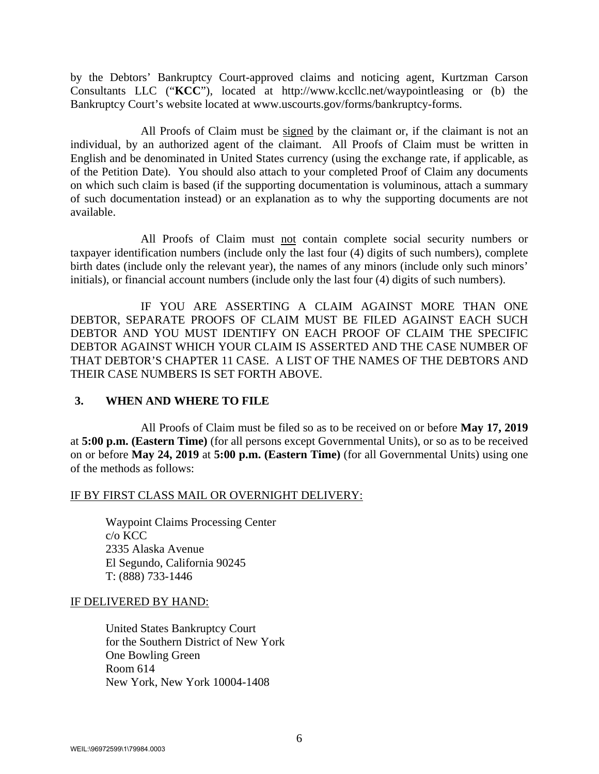by the Debtors' Bankruptcy Court-approved claims and noticing agent, Kurtzman Carson Consultants LLC ("**KCC**"), located at http://www.kccllc.net/waypointleasing or (b) the Bankruptcy Court's website located at www.uscourts.gov/forms/bankruptcy-forms.

 All Proofs of Claim must be signed by the claimant or, if the claimant is not an individual, by an authorized agent of the claimant. All Proofs of Claim must be written in English and be denominated in United States currency (using the exchange rate, if applicable, as of the Petition Date). You should also attach to your completed Proof of Claim any documents on which such claim is based (if the supporting documentation is voluminous, attach a summary of such documentation instead) or an explanation as to why the supporting documents are not available.

 All Proofs of Claim must not contain complete social security numbers or taxpayer identification numbers (include only the last four (4) digits of such numbers), complete birth dates (include only the relevant year), the names of any minors (include only such minors' initials), or financial account numbers (include only the last four (4) digits of such numbers).

 IF YOU ARE ASSERTING A CLAIM AGAINST MORE THAN ONE DEBTOR, SEPARATE PROOFS OF CLAIM MUST BE FILED AGAINST EACH SUCH DEBTOR AND YOU MUST IDENTIFY ON EACH PROOF OF CLAIM THE SPECIFIC DEBTOR AGAINST WHICH YOUR CLAIM IS ASSERTED AND THE CASE NUMBER OF THAT DEBTOR'S CHAPTER 11 CASE. A LIST OF THE NAMES OF THE DEBTORS AND THEIR CASE NUMBERS IS SET FORTH ABOVE.

### **3. WHEN AND WHERE TO FILE**

 All Proofs of Claim must be filed so as to be received on or before **May 17, 2019**  at **5:00 p.m. (Eastern Time)** (for all persons except Governmental Units), or so as to be received on or before **May 24, 2019** at **5:00 p.m. (Eastern Time)** (for all Governmental Units) using one of the methods as follows:

### IF BY FIRST CLASS MAIL OR OVERNIGHT DELIVERY:

Waypoint Claims Processing Center c/o KCC 2335 Alaska Avenue El Segundo, California 90245 T: (888) 733-1446

### IF DELIVERED BY HAND:

United States Bankruptcy Court for the Southern District of New York One Bowling Green Room 614 New York, New York 10004-1408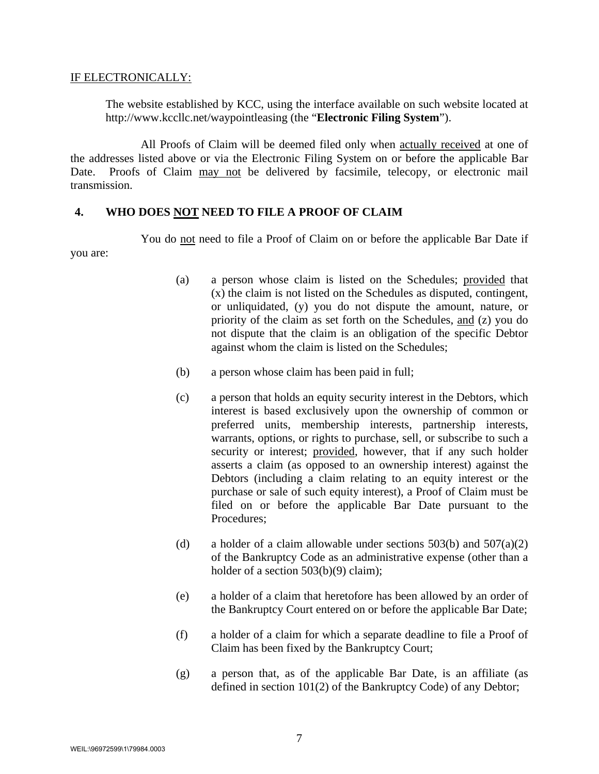### IF ELECTRONICALLY:

The website established by KCC, using the interface available on such website located at http://www.kccllc.net/waypointleasing (the "**Electronic Filing System**").

 All Proofs of Claim will be deemed filed only when actually received at one of the addresses listed above or via the Electronic Filing System on or before the applicable Bar Date. Proofs of Claim may not be delivered by facsimile, telecopy, or electronic mail transmission.

### **4. WHO DOES NOT NEED TO FILE A PROOF OF CLAIM**

You do not need to file a Proof of Claim on or before the applicable Bar Date if you are:

- (a) a person whose claim is listed on the Schedules; provided that (x) the claim is not listed on the Schedules as disputed, contingent, or unliquidated, (y) you do not dispute the amount, nature, or priority of the claim as set forth on the Schedules, and (z) you do not dispute that the claim is an obligation of the specific Debtor against whom the claim is listed on the Schedules;
- (b) a person whose claim has been paid in full;
- (c) a person that holds an equity security interest in the Debtors, which interest is based exclusively upon the ownership of common or preferred units, membership interests, partnership interests, warrants, options, or rights to purchase, sell, or subscribe to such a security or interest; provided, however, that if any such holder asserts a claim (as opposed to an ownership interest) against the Debtors (including a claim relating to an equity interest or the purchase or sale of such equity interest), a Proof of Claim must be filed on or before the applicable Bar Date pursuant to the Procedures;
- (d) a holder of a claim allowable under sections  $503(b)$  and  $507(a)(2)$ of the Bankruptcy Code as an administrative expense (other than a holder of a section 503(b)(9) claim);
- (e) a holder of a claim that heretofore has been allowed by an order of the Bankruptcy Court entered on or before the applicable Bar Date;
- (f) a holder of a claim for which a separate deadline to file a Proof of Claim has been fixed by the Bankruptcy Court;
- (g) a person that, as of the applicable Bar Date, is an affiliate (as defined in section 101(2) of the Bankruptcy Code) of any Debtor;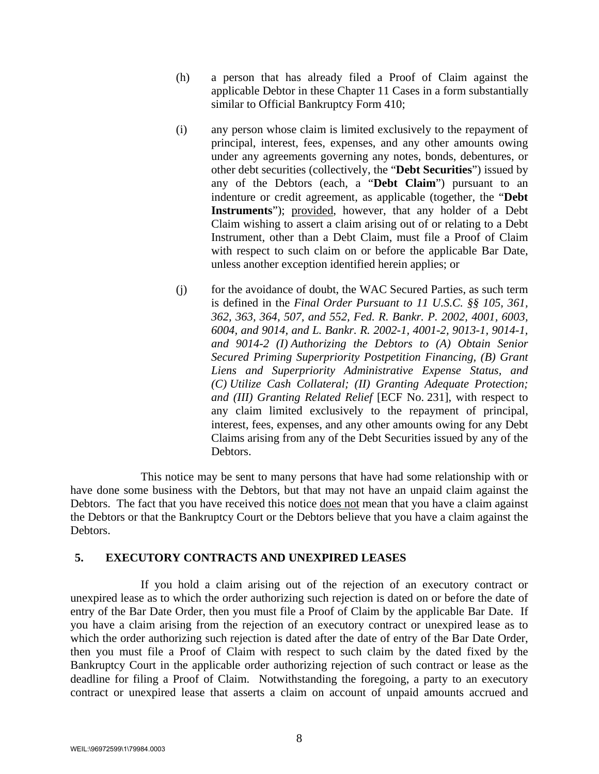- (h) a person that has already filed a Proof of Claim against the applicable Debtor in these Chapter 11 Cases in a form substantially similar to Official Bankruptcy Form 410;
- (i) any person whose claim is limited exclusively to the repayment of principal, interest, fees, expenses, and any other amounts owing under any agreements governing any notes, bonds, debentures, or other debt securities (collectively, the "**Debt Securities**") issued by any of the Debtors (each, a "**Debt Claim**") pursuant to an indenture or credit agreement, as applicable (together, the "**Debt Instruments**"); provided, however, that any holder of a Debt Claim wishing to assert a claim arising out of or relating to a Debt Instrument, other than a Debt Claim, must file a Proof of Claim with respect to such claim on or before the applicable Bar Date, unless another exception identified herein applies; or
- (j) for the avoidance of doubt, the WAC Secured Parties, as such term is defined in the *Final Order Pursuant to 11 U.S.C. §§ 105, 361, 362, 363, 364, 507, and 552, Fed. R. Bankr. P. 2002, 4001, 6003, 6004, and 9014, and L. Bankr. R. 2002-1, 4001-2, 9013-1, 9014-1, and 9014-2 (I) Authorizing the Debtors to (A) Obtain Senior Secured Priming Superpriority Postpetition Financing, (B) Grant Liens and Superpriority Administrative Expense Status, and (C) Utilize Cash Collateral; (II) Granting Adequate Protection; and (III) Granting Related Relief* [ECF No. 231], with respect to any claim limited exclusively to the repayment of principal, interest, fees, expenses, and any other amounts owing for any Debt Claims arising from any of the Debt Securities issued by any of the Debtors.

 This notice may be sent to many persons that have had some relationship with or have done some business with the Debtors, but that may not have an unpaid claim against the Debtors. The fact that you have received this notice does not mean that you have a claim against the Debtors or that the Bankruptcy Court or the Debtors believe that you have a claim against the Debtors.

### **5. EXECUTORY CONTRACTS AND UNEXPIRED LEASES**

 If you hold a claim arising out of the rejection of an executory contract or unexpired lease as to which the order authorizing such rejection is dated on or before the date of entry of the Bar Date Order, then you must file a Proof of Claim by the applicable Bar Date. If you have a claim arising from the rejection of an executory contract or unexpired lease as to which the order authorizing such rejection is dated after the date of entry of the Bar Date Order, then you must file a Proof of Claim with respect to such claim by the dated fixed by the Bankruptcy Court in the applicable order authorizing rejection of such contract or lease as the deadline for filing a Proof of Claim. Notwithstanding the foregoing, a party to an executory contract or unexpired lease that asserts a claim on account of unpaid amounts accrued and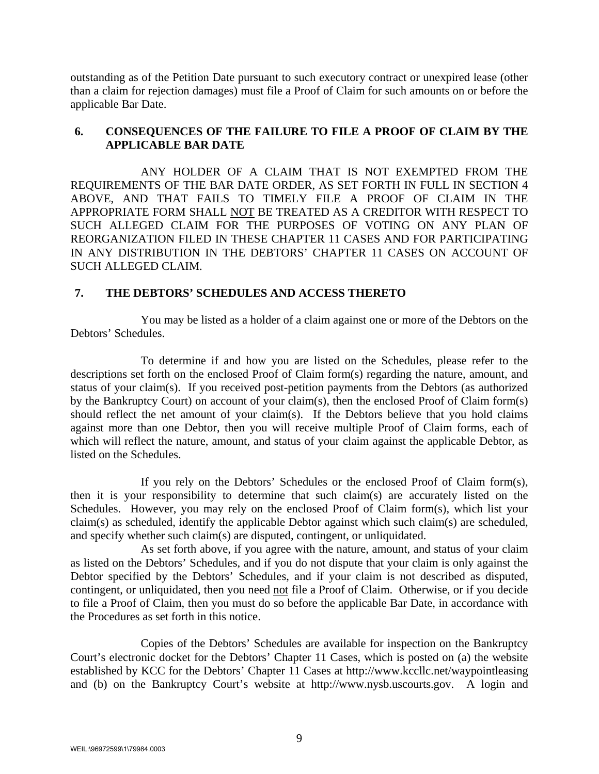outstanding as of the Petition Date pursuant to such executory contract or unexpired lease (other than a claim for rejection damages) must file a Proof of Claim for such amounts on or before the applicable Bar Date.

## **6. CONSEQUENCES OF THE FAILURE TO FILE A PROOF OF CLAIM BY THE APPLICABLE BAR DATE**

ANY HOLDER OF A CLAIM THAT IS NOT EXEMPTED FROM THE REQUIREMENTS OF THE BAR DATE ORDER, AS SET FORTH IN FULL IN SECTION 4 ABOVE, AND THAT FAILS TO TIMELY FILE A PROOF OF CLAIM IN THE APPROPRIATE FORM SHALL NOT BE TREATED AS A CREDITOR WITH RESPECT TO SUCH ALLEGED CLAIM FOR THE PURPOSES OF VOTING ON ANY PLAN OF REORGANIZATION FILED IN THESE CHAPTER 11 CASES AND FOR PARTICIPATING IN ANY DISTRIBUTION IN THE DEBTORS' CHAPTER 11 CASES ON ACCOUNT OF SUCH ALLEGED CLAIM.

## **7. THE DEBTORS' SCHEDULES AND ACCESS THERETO**

You may be listed as a holder of a claim against one or more of the Debtors on the Debtors' Schedules.

 To determine if and how you are listed on the Schedules, please refer to the descriptions set forth on the enclosed Proof of Claim form(s) regarding the nature, amount, and status of your claim(s). If you received post-petition payments from the Debtors (as authorized by the Bankruptcy Court) on account of your claim(s), then the enclosed Proof of Claim form(s) should reflect the net amount of your claim(s). If the Debtors believe that you hold claims against more than one Debtor, then you will receive multiple Proof of Claim forms, each of which will reflect the nature, amount, and status of your claim against the applicable Debtor, as listed on the Schedules.

 If you rely on the Debtors' Schedules or the enclosed Proof of Claim form(s), then it is your responsibility to determine that such claim(s) are accurately listed on the Schedules. However, you may rely on the enclosed Proof of Claim form(s), which list your claim(s) as scheduled, identify the applicable Debtor against which such claim(s) are scheduled, and specify whether such claim(s) are disputed, contingent, or unliquidated.

 As set forth above, if you agree with the nature, amount, and status of your claim as listed on the Debtors' Schedules, and if you do not dispute that your claim is only against the Debtor specified by the Debtors' Schedules, and if your claim is not described as disputed, contingent, or unliquidated, then you need not file a Proof of Claim. Otherwise, or if you decide to file a Proof of Claim, then you must do so before the applicable Bar Date, in accordance with the Procedures as set forth in this notice.

 Copies of the Debtors' Schedules are available for inspection on the Bankruptcy Court's electronic docket for the Debtors' Chapter 11 Cases, which is posted on (a) the website established by KCC for the Debtors' Chapter 11 Cases at http://www.kccllc.net/waypointleasing and (b) on the Bankruptcy Court's website at http://www.nysb.uscourts.gov. A login and